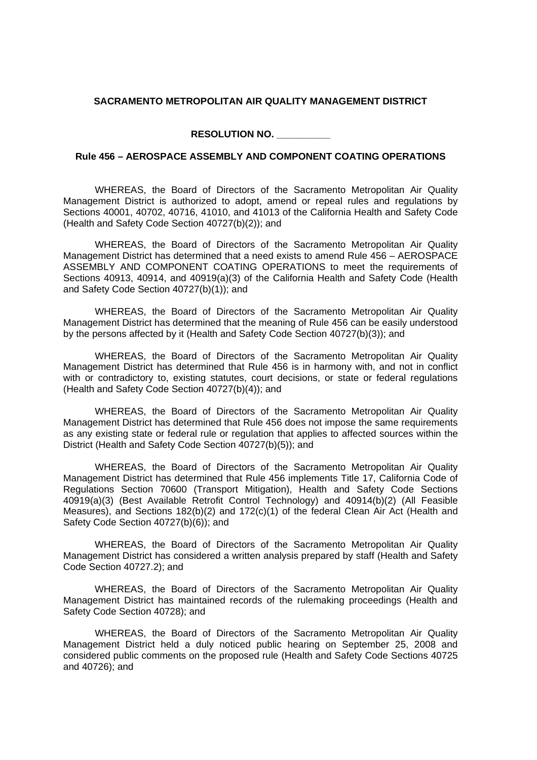## **SACRAMENTO METROPOLITAN AIR QUALITY MANAGEMENT DISTRICT**

**RESOLUTION NO. \_\_\_\_\_\_\_\_\_\_**

## **Rule 456 – AEROSPACE ASSEMBLY AND COMPONENT COATING OPERATIONS**

WHEREAS, the Board of Directors of the Sacramento Metropolitan Air Quality Management District is authorized to adopt, amend or repeal rules and regulations by Sections 40001, 40702, 40716, 41010, and 41013 of the California Health and Safety Code (Health and Safety Code Section 40727(b)(2)); and

WHEREAS, the Board of Directors of the Sacramento Metropolitan Air Quality Management District has determined that a need exists to amend Rule 456 – AEROSPACE ASSEMBLY AND COMPONENT COATING OPERATIONS to meet the requirements of Sections 40913, 40914, and 40919(a)(3) of the California Health and Safety Code (Health and Safety Code Section 40727(b)(1)); and

WHEREAS, the Board of Directors of the Sacramento Metropolitan Air Quality Management District has determined that the meaning of Rule 456 can be easily understood by the persons affected by it (Health and Safety Code Section 40727(b)(3)); and

WHEREAS, the Board of Directors of the Sacramento Metropolitan Air Quality Management District has determined that Rule 456 is in harmony with, and not in conflict with or contradictory to, existing statutes, court decisions, or state or federal regulations (Health and Safety Code Section 40727(b)(4)); and

WHEREAS, the Board of Directors of the Sacramento Metropolitan Air Quality Management District has determined that Rule 456 does not impose the same requirements as any existing state or federal rule or regulation that applies to affected sources within the District (Health and Safety Code Section 40727(b)(5)); and

WHEREAS, the Board of Directors of the Sacramento Metropolitan Air Quality Management District has determined that Rule 456 implements Title 17, California Code of Regulations Section 70600 (Transport Mitigation), Health and Safety Code Sections 40919(a)(3) (Best Available Retrofit Control Technology) and 40914(b)(2) (All Feasible Measures), and Sections 182(b)(2) and 172(c)(1) of the federal Clean Air Act (Health and Safety Code Section 40727(b)(6)); and

WHEREAS, the Board of Directors of the Sacramento Metropolitan Air Quality Management District has considered a written analysis prepared by staff (Health and Safety Code Section 40727.2); and

WHEREAS, the Board of Directors of the Sacramento Metropolitan Air Quality Management District has maintained records of the rulemaking proceedings (Health and Safety Code Section 40728); and

WHEREAS, the Board of Directors of the Sacramento Metropolitan Air Quality Management District held a duly noticed public hearing on September 25, 2008 and considered public comments on the proposed rule (Health and Safety Code Sections 40725 and 40726); and